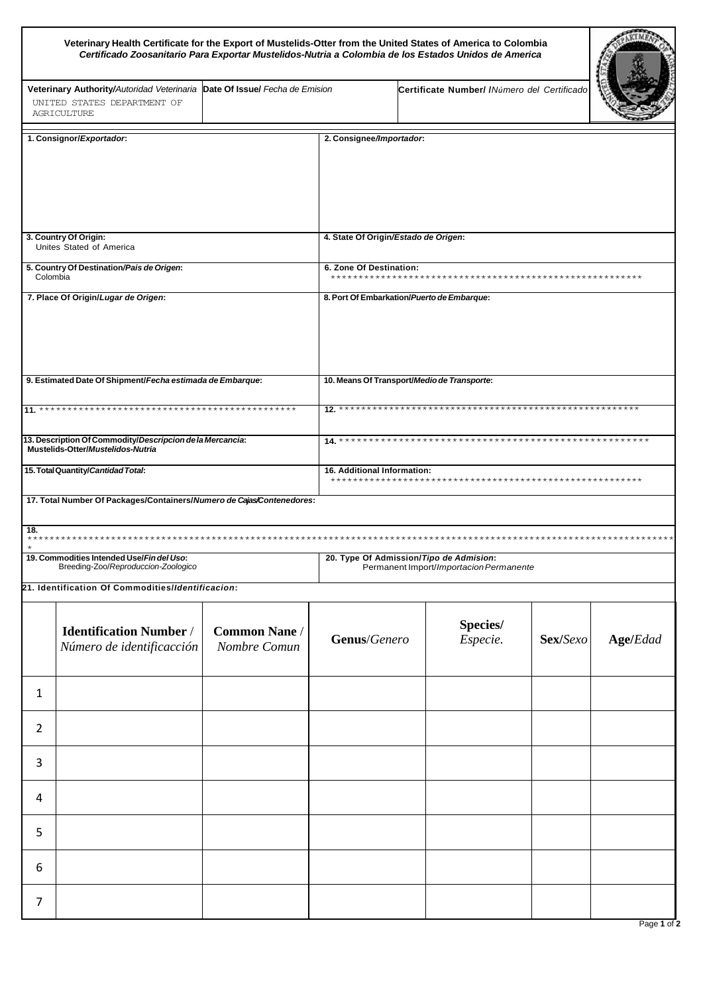| Veterinary Health Certificate for the Export of Mustelids-Otter from the United States of America to Colombia<br>Certificado Zoosanitario Para Exportar Mustelidos-Nutria a Colombia de los Estados Unidos de America |                                                                                                |                                      |                                                                                    |                                              |          |                 |  |
|-----------------------------------------------------------------------------------------------------------------------------------------------------------------------------------------------------------------------|------------------------------------------------------------------------------------------------|--------------------------------------|------------------------------------------------------------------------------------|----------------------------------------------|----------|-----------------|--|
| Date Of Issue/ Fecha de Emision<br>Veterinary Authority/Autoridad Veterinaria<br>UNITED STATES DEPARTMENT OF<br>AGRICULTURE                                                                                           |                                                                                                |                                      |                                                                                    | Certificate Number/ / Número del Certificado |          |                 |  |
| 1. Consignor/Exportador:                                                                                                                                                                                              |                                                                                                |                                      | 2. Consignee/Importador:                                                           |                                              |          |                 |  |
|                                                                                                                                                                                                                       |                                                                                                |                                      |                                                                                    |                                              |          |                 |  |
| 3. Country Of Origin:<br>Unites Stated of America                                                                                                                                                                     |                                                                                                |                                      | 4. State Of Origin/Estado de Origen:                                               |                                              |          |                 |  |
| 5. Country Of Destination/Pais de Origen:<br>Colombia                                                                                                                                                                 |                                                                                                |                                      | 6. Zone Of Destination:                                                            |                                              |          |                 |  |
|                                                                                                                                                                                                                       | 7. Place Of Origin/Lugar de Origen:                                                            |                                      | 8. Port Of Embarkation/Puerto de Embarque:                                         |                                              |          |                 |  |
|                                                                                                                                                                                                                       | 9. Estimated Date Of Shipment/Fecha estimada de Embarque:                                      |                                      | 10. Means Of Transport/Medio de Transporte:                                        |                                              |          |                 |  |
|                                                                                                                                                                                                                       |                                                                                                |                                      |                                                                                    |                                              |          |                 |  |
|                                                                                                                                                                                                                       | 13. Description Of Commodity/Descripcion de la Mercancia:<br>Mustelids-Otter/Mustelidos-Nutria |                                      |                                                                                    |                                              |          |                 |  |
|                                                                                                                                                                                                                       | 15. Total Quantity/Cantidad Total:                                                             |                                      | 16. Additional Information:                                                        |                                              |          |                 |  |
|                                                                                                                                                                                                                       | 17. Total Number Of Packages/Containers/Numero de Cajas/Contenedores:                          |                                      |                                                                                    |                                              |          |                 |  |
| 18.                                                                                                                                                                                                                   |                                                                                                |                                      |                                                                                    |                                              |          |                 |  |
| 19. Commodities Intended Use/Fin del Uso:<br>Breeding-Zoo/Reproduccion-Zoologico                                                                                                                                      |                                                                                                |                                      | 20. Type Of Admission/Tipo de Admision:<br>Permanent Import/Importacion Permanente |                                              |          |                 |  |
|                                                                                                                                                                                                                       | 21. Identification Of Commodities/Identificacion:                                              |                                      |                                                                                    |                                              |          |                 |  |
|                                                                                                                                                                                                                       | <b>Identification Number /</b><br>Número de identificacción                                    | <b>Common Nane /</b><br>Nombre Comun | Genus/Genero                                                                       | Species/<br>Especie.                         | Sex/Sexo | <b>Age/Edad</b> |  |
| 1                                                                                                                                                                                                                     |                                                                                                |                                      |                                                                                    |                                              |          |                 |  |
| $\overline{2}$                                                                                                                                                                                                        |                                                                                                |                                      |                                                                                    |                                              |          |                 |  |
| 3                                                                                                                                                                                                                     |                                                                                                |                                      |                                                                                    |                                              |          |                 |  |
| 4                                                                                                                                                                                                                     |                                                                                                |                                      |                                                                                    |                                              |          |                 |  |
| 5                                                                                                                                                                                                                     |                                                                                                |                                      |                                                                                    |                                              |          |                 |  |
| 6                                                                                                                                                                                                                     |                                                                                                |                                      |                                                                                    |                                              |          |                 |  |
| 7                                                                                                                                                                                                                     |                                                                                                |                                      |                                                                                    |                                              |          |                 |  |

Page 1 of 2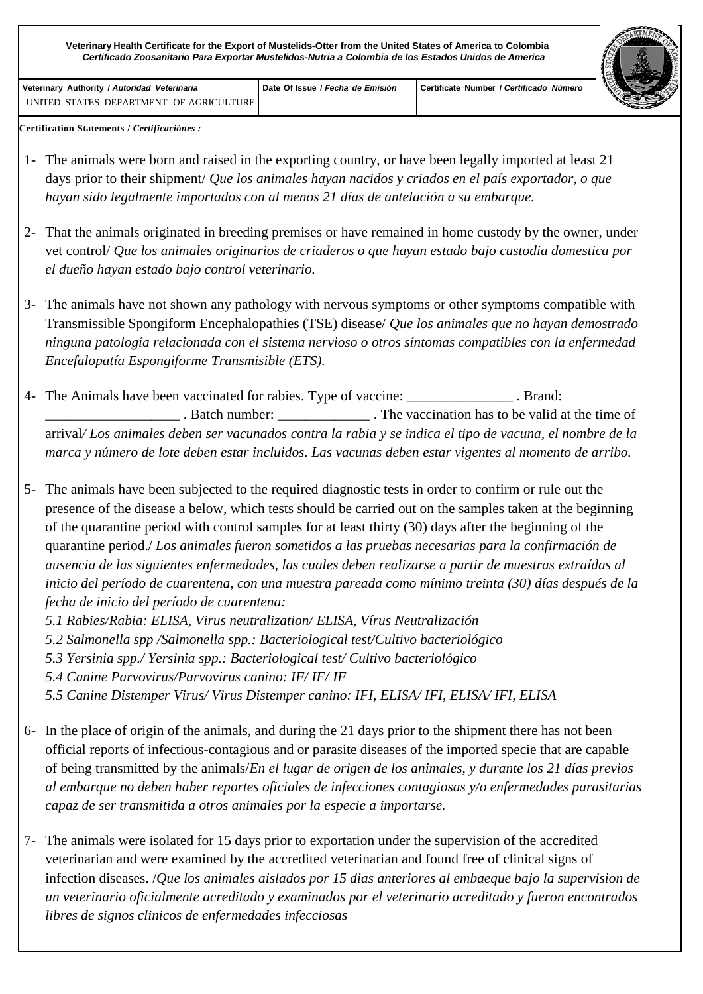**Veterinary Health Certificate for the Export of Mustelids-Otter from the United States of America to Colombia** *Certificado Zoosanitario Para Exportar Mustelidos-Nutria a Colombia de los Estados Unidos de America*

**Veterinary Authority /** *Autoridad Veterinaria* UNITED STATES DEPARTMENT OF AGRICULTURE



**Certification Statements /** *Certificaciónes :*

- 1- The animals were born and raised in the exporting country, or have been legally imported at least 21 days prior to their shipment/ *Que los animales hayan nacidos y criados en el país exportador, o que hayan sido legalmente importados con al menos 21 días de antelación a su embarque.*
- 2- That the animals originated in breeding premises or have remained in home custody by the owner, under vet control/ *Que los animales originarios de criaderos o que hayan estado bajo custodia domestica por el dueño hayan estado bajo control veterinario.*
- 3- The animals have not shown any pathology with nervous symptoms or other symptoms compatible with Transmissible Spongiform Encephalopathies (TSE) disease/ *Que los animales que no hayan demostrado ninguna patología relacionada con el sistema nervioso o otros síntomas compatibles con la enfermedad Encefalopatía Espongiforme Transmisible (ETS).*
- 4- The Animals have been vaccinated for rabies. Type of vaccine: \_\_\_\_\_\_\_\_\_\_\_\_\_\_\_ . Brand: \_\_\_\_\_\_\_\_\_\_\_\_\_\_\_\_\_\_\_ . Batch number: \_\_\_\_\_\_\_\_\_\_\_\_\_ . The vaccination has to be valid at the time of arrival*/ Los animales deben ser vacunados contra la rabia y se indica el tipo de vacuna, el nombre de la marca y número de lote deben estar incluidos. Las vacunas deben estar vigentes al momento de arribo.*
- 5- The animals have been subjected to the required diagnostic tests in order to confirm or rule out the presence of the disease a below, which tests should be carried out on the samples taken at the beginning of the quarantine period with control samples for at least thirty (30) days after the beginning of the quarantine period./ *Los animales fueron sometidos a las pruebas necesarias para la confirmación de ausencia de las siguientes enfermedades, las cuales deben realizarse a partir de muestras extraídas al inicio del período de cuarentena, con una muestra pareada como mínimo treinta (30) días después de la fecha de inicio del período de cuarentena:*
	- *5.1 Rabies/Rabia: ELISA, Virus neutralization/ ELISA, Vírus Neutralización*
	- *5.2 Salmonella spp /Salmonella spp.: Bacteriological test/Cultivo bacteriológico*
	- *5.3 Yersinia spp./ Yersinia spp.: Bacteriological test/ Cultivo bacteriológico*
	- *5.4 Canine Parvovirus/Parvovirus canino: IF/ IF/ IF*
	- *5.5 Canine Distemper Virus/ Virus Distemper canino: IFI, ELISA/ IFI, ELISA/ IFI, ELISA*
- 6- In the place of origin of the animals, and during the 21 days prior to the shipment there has not been official reports of infectious-contagious and or parasite diseases of the imported specie that are capable of being transmitted by the animals/*En el lugar de origen de los animales, y durante los 21 días previos al embarque no deben haber reportes oficiales de infecciones contagiosas y/o enfermedades parasitarias capaz de ser transmitida a otros animales por la especie a importarse.*
- 7- The animals were isolated for 15 days prior to exportation under the supervision of the accredited veterinarian and were examined by the accredited veterinarian and found free of clinical signs of infection diseases. /*Que los animales aislados por 15 dias anteriores al embaeque bajo la supervision de un veterinario oficialmente acreditado y examinados por el veterinario acreditado y fueron encontrados libres de signos clinicos de enfermedades infecciosas*